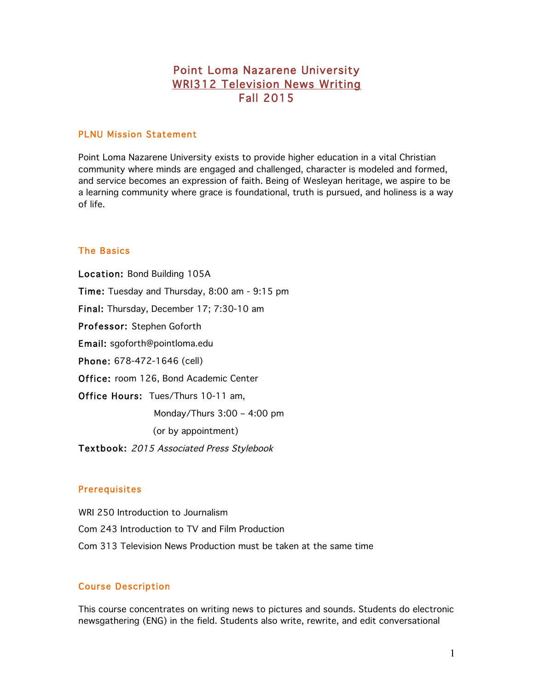# Point Loma Nazarene University WRI312 Television News Writing Fall 2015

#### PLNU Mission Statement

Point Loma Nazarene University exists to provide higher education in a vital Christian community where minds are engaged and challenged, character is modeled and formed, and service becomes an expression of faith. Being of Wesleyan heritage, we aspire to be a learning community where grace is foundational, truth is pursued, and holiness is a way of life.

# The Basics

Location: Bond Building 105A Time: Tuesday and Thursday, 8:00 am - 9:15 pm Final: Thursday, December 17; 7:30-10 am Professor: Stephen Goforth Email: sgoforth@pointloma.edu Phone: 678-472-1646 (cell) Office: room 126, Bond Academic Center Office Hours: Tues/Thurs 10-11 am, Monday/Thurs 3:00 – 4:00 pm (or by appointment) Textbook: 2015 Associated Press Stylebook

# Prerequisites

WRI 250 Introduction to Journalism Com 243 Introduction to TV and Film Production Com 313 Television News Production must be taken at the same time

# Course Description

This course concentrates on writing news to pictures and sounds. Students do electronic newsgathering (ENG) in the field. Students also write, rewrite, and edit conversational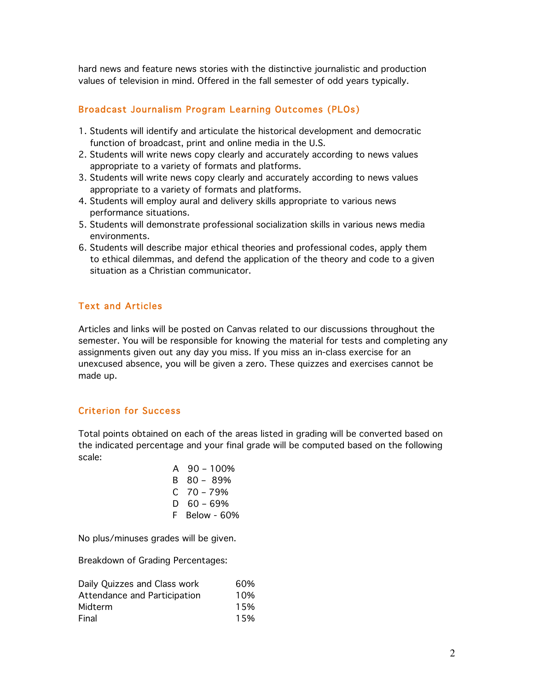hard news and feature news stories with the distinctive journalistic and production values of television in mind. Offered in the fall semester of odd years typically.

# Broadcast Journalism Program Learning Outcomes (PLOs)

- 1. Students will identify and articulate the historical development and democratic function of broadcast, print and online media in the U.S.
- 2. Students will write news copy clearly and accurately according to news values appropriate to a variety of formats and platforms.
- 3. Students will write news copy clearly and accurately according to news values appropriate to a variety of formats and platforms.
- 4. Students will employ aural and delivery skills appropriate to various news performance situations.
- 5. Students will demonstrate professional socialization skills in various news media environments.
- 6. Students will describe major ethical theories and professional codes, apply them to ethical dilemmas, and defend the application of the theory and code to a given situation as a Christian communicator.

# Text and Articles

Articles and links will be posted on Canvas related to our discussions throughout the semester. You will be responsible for knowing the material for tests and completing any assignments given out any day you miss. If you miss an in-class exercise for an unexcused absence, you will be given a zero. These quizzes and exercises cannot be made up.

# Criterion for Success

Total points obtained on each of the areas listed in grading will be converted based on the indicated percentage and your final grade will be computed based on the following scale:

> A 90 – 100% B 80 – 89%  $C$  70 – 79%  $D$  60 – 69% F Below - 60%

No plus/minuses grades will be given.

Breakdown of Grading Percentages:

| Daily Quizzes and Class work | 60% |
|------------------------------|-----|
| Attendance and Participation | 10% |
| Midterm                      | 15% |
| Final                        | 15% |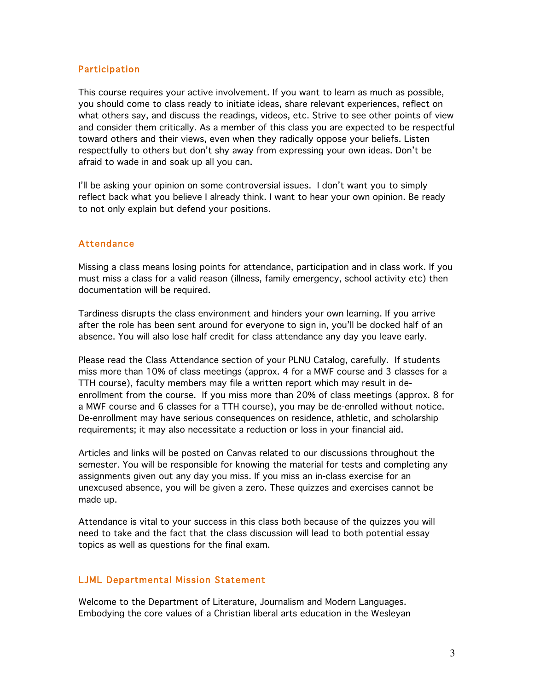# Participation

This course requires your active involvement. If you want to learn as much as possible, you should come to class ready to initiate ideas, share relevant experiences, reflect on what others say, and discuss the readings, videos, etc. Strive to see other points of view and consider them critically. As a member of this class you are expected to be respectful toward others and their views, even when they radically oppose your beliefs. Listen respectfully to others but don't shy away from expressing your own ideas. Don't be afraid to wade in and soak up all you can.

I'll be asking your opinion on some controversial issues. I don't want you to simply reflect back what you believe I already think. I want to hear your own opinion. Be ready to not only explain but defend your positions.

# Attendance

Missing a class means losing points for attendance, participation and in class work. If you must miss a class for a valid reason (illness, family emergency, school activity etc) then documentation will be required.

Tardiness disrupts the class environment and hinders your own learning. If you arrive after the role has been sent around for everyone to sign in, you'll be docked half of an absence. You will also lose half credit for class attendance any day you leave early.

Please read the Class Attendance section of your PLNU Catalog, carefully. If students miss more than 10% of class meetings (approx. 4 for a MWF course and 3 classes for a TTH course), faculty members may file a written report which may result in deenrollment from the course. If you miss more than 20% of class meetings (approx. 8 for a MWF course and 6 classes for a TTH course), you may be de-enrolled without notice. De-enrollment may have serious consequences on residence, athletic, and scholarship requirements; it may also necessitate a reduction or loss in your financial aid.

Articles and links will be posted on Canvas related to our discussions throughout the semester. You will be responsible for knowing the material for tests and completing any assignments given out any day you miss. If you miss an in-class exercise for an unexcused absence, you will be given a zero. These quizzes and exercises cannot be made up.

Attendance is vital to your success in this class both because of the quizzes you will need to take and the fact that the class discussion will lead to both potential essay topics as well as questions for the final exam.

# LJML Departmental Mission Statement

Welcome to the Department of Literature, Journalism and Modern Languages. Embodying the core values of a Christian liberal arts education in the Wesleyan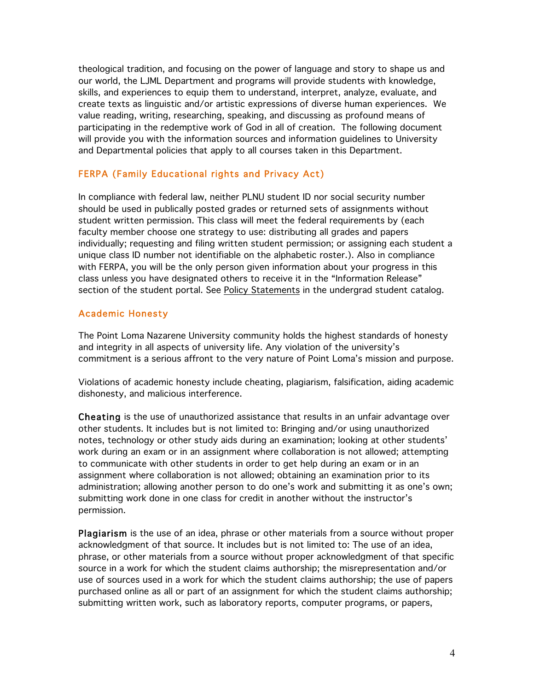theological tradition, and focusing on the power of language and story to shape us and our world, the LJML Department and programs will provide students with knowledge, skills, and experiences to equip them to understand, interpret, analyze, evaluate, and create texts as linguistic and/or artistic expressions of diverse human experiences. We value reading, writing, researching, speaking, and discussing as profound means of participating in the redemptive work of God in all of creation. The following document will provide you with the information sources and information guidelines to University and Departmental policies that apply to all courses taken in this Department.

#### FERPA (Family Educational rights and Privacy Act)

In compliance with federal law, neither PLNU student ID nor social security number should be used in publically posted grades or returned sets of assignments without student written permission. This class will meet the federal requirements by (each faculty member choose one strategy to use: distributing all grades and papers individually; requesting and filing written student permission; or assigning each student a unique class ID number not identifiable on the alphabetic roster.). Also in compliance with FERPA, you will be the only person given information about your progress in this class unless you have designated others to receive it in the "Information Release" section of the student portal. See Policy Statements in the undergrad student catalog.

#### Academic Honesty

The Point Loma Nazarene University community holds the highest standards of honesty and integrity in all aspects of university life. Any violation of the university's commitment is a serious affront to the very nature of Point Loma's mission and purpose.

Violations of academic honesty include cheating, plagiarism, falsification, aiding academic dishonesty, and malicious interference.

Cheating is the use of unauthorized assistance that results in an unfair advantage over other students. It includes but is not limited to: Bringing and/or using unauthorized notes, technology or other study aids during an examination; looking at other students' work during an exam or in an assignment where collaboration is not allowed; attempting to communicate with other students in order to get help during an exam or in an assignment where collaboration is not allowed; obtaining an examination prior to its administration; allowing another person to do one's work and submitting it as one's own; submitting work done in one class for credit in another without the instructor's permission.

Plagiarism is the use of an idea, phrase or other materials from a source without proper acknowledgment of that source. It includes but is not limited to: The use of an idea, phrase, or other materials from a source without proper acknowledgment of that specific source in a work for which the student claims authorship; the misrepresentation and/or use of sources used in a work for which the student claims authorship; the use of papers purchased online as all or part of an assignment for which the student claims authorship; submitting written work, such as laboratory reports, computer programs, or papers,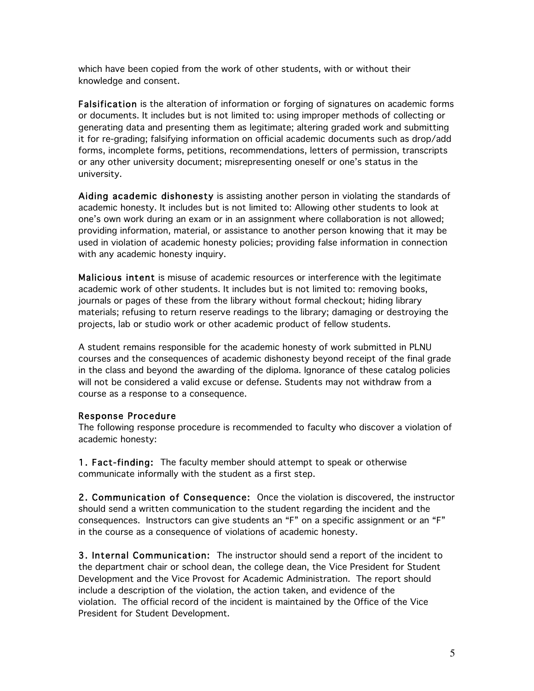which have been copied from the work of other students, with or without their knowledge and consent.

Falsification is the alteration of information or forging of signatures on academic forms or documents. It includes but is not limited to: using improper methods of collecting or generating data and presenting them as legitimate; altering graded work and submitting it for re-grading; falsifying information on official academic documents such as drop/add forms, incomplete forms, petitions, recommendations, letters of permission, transcripts or any other university document; misrepresenting oneself or one's status in the university.

Aiding academic dishonesty is assisting another person in violating the standards of academic honesty. It includes but is not limited to: Allowing other students to look at one's own work during an exam or in an assignment where collaboration is not allowed; providing information, material, or assistance to another person knowing that it may be used in violation of academic honesty policies; providing false information in connection with any academic honesty inquiry.

Malicious intent is misuse of academic resources or interference with the legitimate academic work of other students. It includes but is not limited to: removing books, journals or pages of these from the library without formal checkout; hiding library materials; refusing to return reserve readings to the library; damaging or destroying the projects, lab or studio work or other academic product of fellow students.

A student remains responsible for the academic honesty of work submitted in PLNU courses and the consequences of academic dishonesty beyond receipt of the final grade in the class and beyond the awarding of the diploma. Ignorance of these catalog policies will not be considered a valid excuse or defense. Students may not withdraw from a course as a response to a consequence.

# Response Procedure

The following response procedure is recommended to faculty who discover a violation of academic honesty:

1. Fact-finding: The faculty member should attempt to speak or otherwise communicate informally with the student as a first step.

2. Communication of Consequence: Once the violation is discovered, the instructor should send a written communication to the student regarding the incident and the consequences. Instructors can give students an "F" on a specific assignment or an "F" in the course as a consequence of violations of academic honesty.

3. Internal Communication: The instructor should send a report of the incident to the department chair or school dean, the college dean, the Vice President for Student Development and the Vice Provost for Academic Administration. The report should include a description of the violation, the action taken, and evidence of the violation. The official record of the incident is maintained by the Office of the Vice President for Student Development.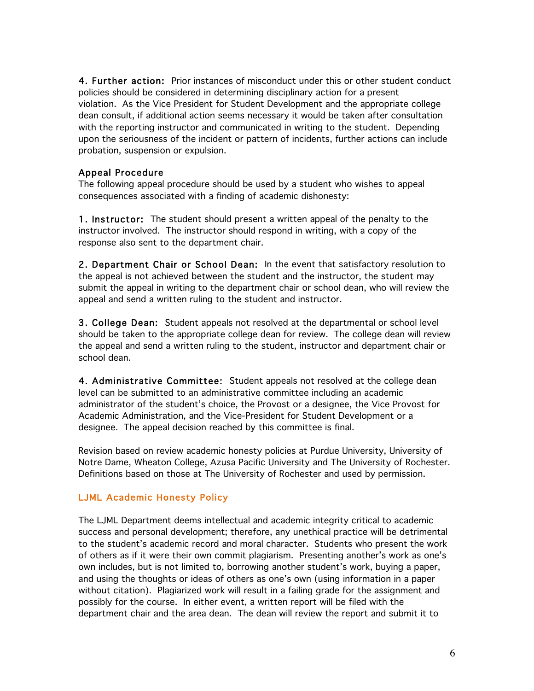4. Further action: Prior instances of misconduct under this or other student conduct policies should be considered in determining disciplinary action for a present violation. As the Vice President for Student Development and the appropriate college dean consult, if additional action seems necessary it would be taken after consultation with the reporting instructor and communicated in writing to the student. Depending upon the seriousness of the incident or pattern of incidents, further actions can include probation, suspension or expulsion.

# Appeal Procedure

The following appeal procedure should be used by a student who wishes to appeal consequences associated with a finding of academic dishonesty:

1. Instructor: The student should present a written appeal of the penalty to the instructor involved. The instructor should respond in writing, with a copy of the response also sent to the department chair.

2. Department Chair or School Dean: In the event that satisfactory resolution to the appeal is not achieved between the student and the instructor, the student may submit the appeal in writing to the department chair or school dean, who will review the appeal and send a written ruling to the student and instructor.

3. College Dean: Student appeals not resolved at the departmental or school level should be taken to the appropriate college dean for review. The college dean will review the appeal and send a written ruling to the student, instructor and department chair or school dean.

4. Administrative Committee: Student appeals not resolved at the college dean level can be submitted to an administrative committee including an academic administrator of the student's choice, the Provost or a designee, the Vice Provost for Academic Administration, and the Vice-President for Student Development or a designee. The appeal decision reached by this committee is final.

Revision based on review academic honesty policies at Purdue University, University of Notre Dame, Wheaton College, Azusa Pacific University and The University of Rochester. Definitions based on those at The University of Rochester and used by permission.

# LJML Academic Honesty Policy

The LJML Department deems intellectual and academic integrity critical to academic success and personal development; therefore, any unethical practice will be detrimental to the student's academic record and moral character. Students who present the work of others as if it were their own commit plagiarism. Presenting another's work as one's own includes, but is not limited to, borrowing another student's work, buying a paper, and using the thoughts or ideas of others as one's own (using information in a paper without citation). Plagiarized work will result in a failing grade for the assignment and possibly for the course. In either event, a written report will be filed with the department chair and the area dean. The dean will review the report and submit it to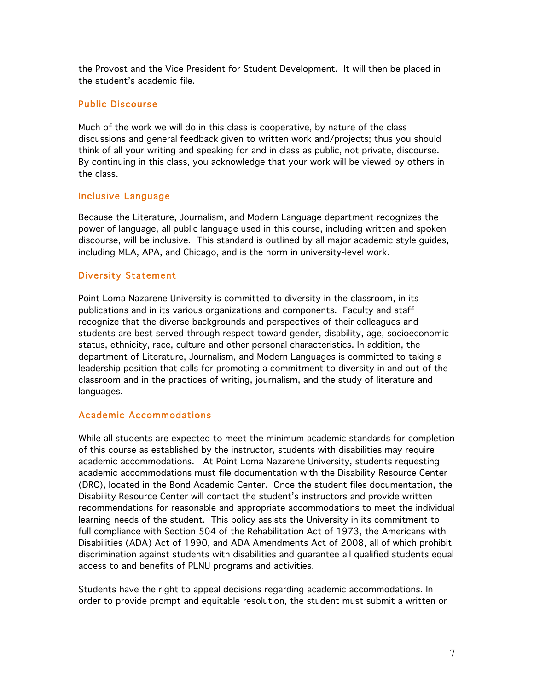the Provost and the Vice President for Student Development. It will then be placed in the student's academic file.

# Public Discourse

Much of the work we will do in this class is cooperative, by nature of the class discussions and general feedback given to written work and/projects; thus you should think of all your writing and speaking for and in class as public, not private, discourse. By continuing in this class, you acknowledge that your work will be viewed by others in the class.

# Inclusive Language

Because the Literature, Journalism, and Modern Language department recognizes the power of language, all public language used in this course, including written and spoken discourse, will be inclusive. This standard is outlined by all major academic style guides, including MLA, APA, and Chicago, and is the norm in university-level work.

#### Diversity Statement

Point Loma Nazarene University is committed to diversity in the classroom, in its publications and in its various organizations and components. Faculty and staff recognize that the diverse backgrounds and perspectives of their colleagues and students are best served through respect toward gender, disability, age, socioeconomic status, ethnicity, race, culture and other personal characteristics. In addition, the department of Literature, Journalism, and Modern Languages is committed to taking a leadership position that calls for promoting a commitment to diversity in and out of the classroom and in the practices of writing, journalism, and the study of literature and languages.

# Academic Accommodations

While all students are expected to meet the minimum academic standards for completion of this course as established by the instructor, students with disabilities may require academic accommodations. At Point Loma Nazarene University, students requesting academic accommodations must file documentation with the Disability Resource Center (DRC), located in the Bond Academic Center. Once the student files documentation, the Disability Resource Center will contact the student's instructors and provide written recommendations for reasonable and appropriate accommodations to meet the individual learning needs of the student. This policy assists the University in its commitment to full compliance with Section 504 of the Rehabilitation Act of 1973, the Americans with Disabilities (ADA) Act of 1990, and ADA Amendments Act of 2008, all of which prohibit discrimination against students with disabilities and guarantee all qualified students equal access to and benefits of PLNU programs and activities.

Students have the right to appeal decisions regarding academic accommodations. In order to provide prompt and equitable resolution, the student must submit a written or